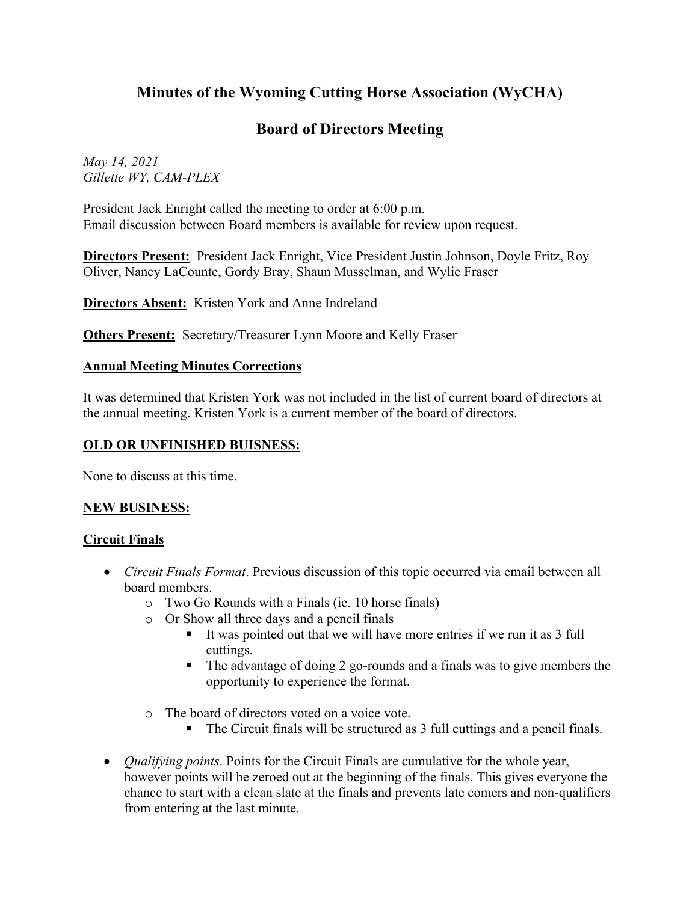# **Minutes of the Wyoming Cutting Horse Association (WyCHA)**

# **Board of Directors Meeting**

*May 14, 2021 Gillette WY, CAM-PLEX*

President Jack Enright called the meeting to order at 6:00 p.m. Email discussion between Board members is available for review upon request.

**Directors Present:** President Jack Enright, Vice President Justin Johnson, Doyle Fritz, Roy Oliver, Nancy LaCounte, Gordy Bray, Shaun Musselman, and Wylie Fraser

**Directors Absent:** Kristen York and Anne Indreland

**Others Present:** Secretary/Treasurer Lynn Moore and Kelly Fraser

#### **Annual Meeting Minutes Corrections**

It was determined that Kristen York was not included in the list of current board of directors at the annual meeting. Kristen York is a current member of the board of directors.

### **OLD OR UNFINISHED BUISNESS:**

None to discuss at this time.

#### **NEW BUSINESS:**

#### **Circuit Finals**

- *Circuit Finals Format*. Previous discussion of this topic occurred via email between all board members.
	- o Two Go Rounds with a Finals (ie. 10 horse finals)
	- o Or Show all three days and a pencil finals
		- It was pointed out that we will have more entries if we run it as 3 full cuttings.
		- The advantage of doing 2 go-rounds and a finals was to give members the opportunity to experience the format.
	- o The board of directors voted on a voice vote.
		- The Circuit finals will be structured as 3 full cuttings and a pencil finals.
- *Qualifying points*. Points for the Circuit Finals are cumulative for the whole year, however points will be zeroed out at the beginning of the finals. This gives everyone the chance to start with a clean slate at the finals and prevents late comers and non-qualifiers from entering at the last minute.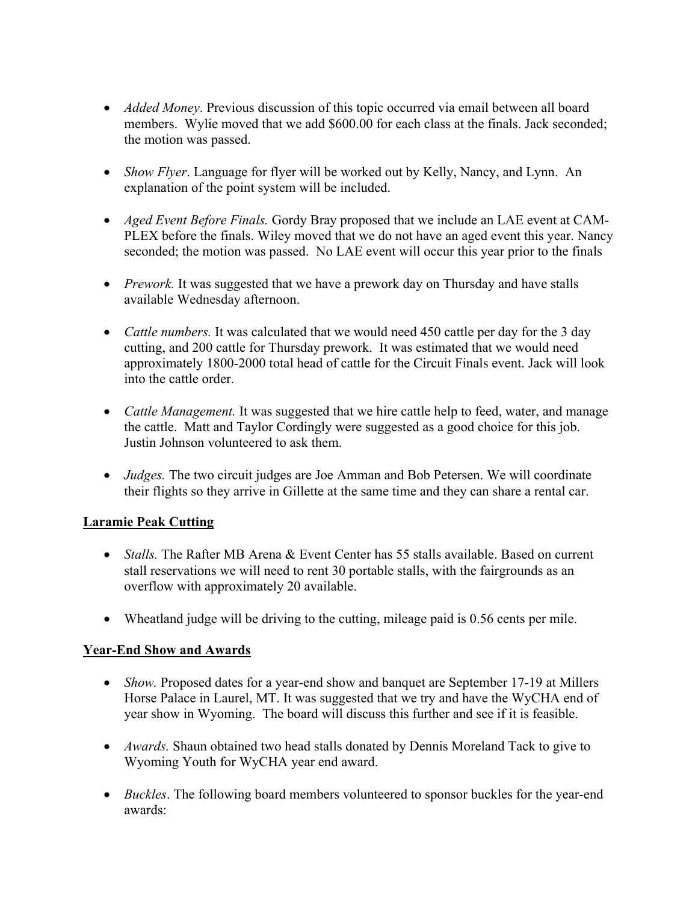- *Added Money*. Previous discussion of this topic occurred via email between all board members. Wylie moved that we add \$600.00 for each class at the finals. Jack seconded; the motion was passed.
- *Show Flyer*. Language for flyer will be worked out by Kelly, Nancy, and Lynn. An explanation of the point system will be included.
- *Aged Event Before Finals.* Gordy Bray proposed that we include an LAE event at CAM-PLEX before the finals. Wiley moved that we do not have an aged event this year. Nancy seconded; the motion was passed. No LAE event will occur this year prior to the finals
- *Prework*. It was suggested that we have a prework day on Thursday and have stalls available Wednesday afternoon.
- *Cattle numbers.* It was calculated that we would need 450 cattle per day for the 3 day cutting, and 200 cattle for Thursday prework. It was estimated that we would need approximately 1800-2000 total head of cattle for the Circuit Finals event. Jack will look into the cattle order.
- *Cattle Management*. It was suggested that we hire cattle help to feed, water, and manage the cattle. Matt and Taylor Cordingly were suggested as a good choice for this job. Justin Johnson volunteered to ask them.
- *Judges.* The two circuit judges are Joe Amman and Bob Petersen. We will coordinate their flights so they arrive in Gillette at the same time and they can share a rental car.

# **Laramie Peak Cutting**

- *Stalls*. The Rafter MB Arena & Event Center has 55 stalls available. Based on current stall reservations we will need to rent 30 portable stalls, with the fairgrounds as an overflow with approximately 20 available.
- Wheatland judge will be driving to the cutting, mileage paid is 0.56 cents per mile.

# **Year-End Show and Awards**

- *Show.* Proposed dates for a year-end show and banquet are September 17-19 at Millers Horse Palace in Laurel, MT. It was suggested that we try and have the WyCHA end of year show in Wyoming. The board will discuss this further and see if it is feasible.
- *Awards.* Shaun obtained two head stalls donated by Dennis Moreland Tack to give to Wyoming Youth for WyCHA year end award.
- *Buckles*. The following board members volunteered to sponsor buckles for the year-end awards: